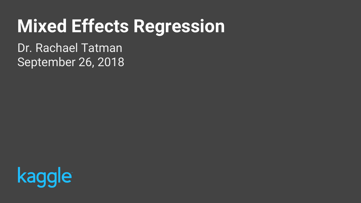## **Mixed Effects Regression**

Dr. Rachael Tatman September 26, 2018

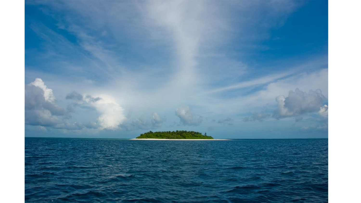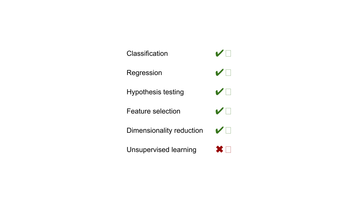| Classification               |   |
|------------------------------|---|
| Regression                   |   |
| <b>Hypothesis testing</b>    |   |
| <b>Feature selection</b>     | V |
| Dimensionality reduction     | V |
| <b>Unsupervised learning</b> |   |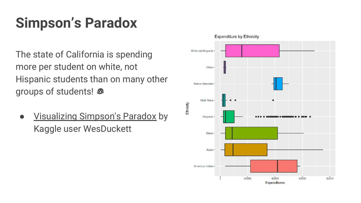### **Simpson's Paradox**

The state of California is spending more per student on white, not Hispanic students than on many other groups of students!

**[Visualizing Simpson's Paradox](https://www.kaggle.com/wduckett/visualizing-simpson-s-paradox) by** Kaggle user WesDuckett

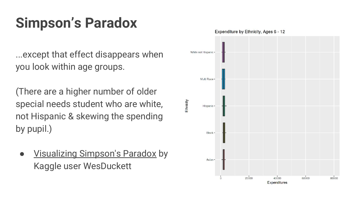### **Simpson's Paradox**

...except that effect disappears when you look within age groups.

(There are a higher number of older special needs student who are white, not Hispanic & skewing the spending by pupil.)

**[Visualizing Simpson's Paradox](https://www.kaggle.com/wduckett/visualizing-simpson-s-paradox) by** Kaggle user WesDuckett

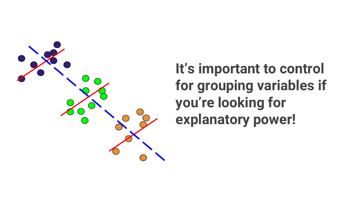

**It's important to control for grouping variables if you're looking for explanatory power!**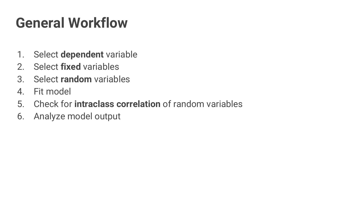- 1. Select **dependent** variable
- 2. Select **fixed** variables
- 3. Select **random** variables
- 4. Fit model
- 5. Check for **intraclass correlation** of random variables
- 6. Analyze model output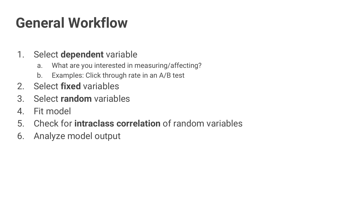#### 1. Select **dependent** variable

- a. What are you interested in measuring/affecting?
- b. Examples: Click through rate in an A/B test
- 2. Select **fixed** variables
- 3. Select **random** variables
- 4. Fit model
- 5. Check for **intraclass correlation** of random variables
- 6. Analyze model output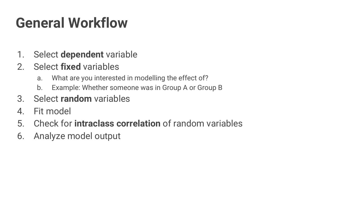- 1. Select **dependent** variable
- 2. Select **fixed** variables
	- a. What are you interested in modelling the effect of?
	- b. Example: Whether someone was in Group A or Group B
- 3. Select **random** variables
- 4. Fit model
- 5. Check for **intraclass correlation** of random variables
- 6. Analyze model output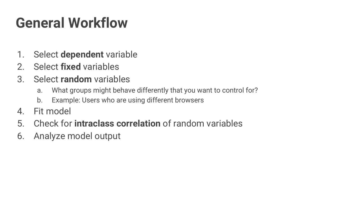- 1. Select **dependent** variable
- 2. Select **fixed** variables
- 3. Select **random** variables
	- a. What groups might behave differently that you want to control for?
	- b. Example: Users who are using different browsers
- 4. Fit model
- 5. Check for **intraclass correlation** of random variables
- 6. Analyze model output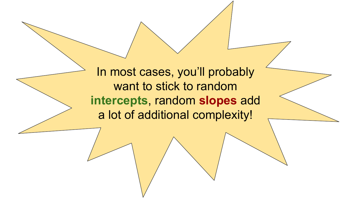In most cases, you'll probably want to stick to random **intercepts**, random **slopes** add a lot of additional complexity!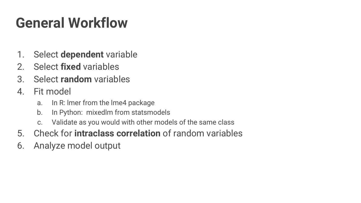- 1. Select **dependent** variable
- 2. Select **fixed** variables
- 3. Select **random** variables
- 4. Fit model
	- a. In R: lmer from the lme4 package
	- b. In Python: mixedlm from statsmodels
	- c. Validate as you would with other models of the same class
- 5. Check for **intraclass correlation** of random variables
- 6. Analyze model output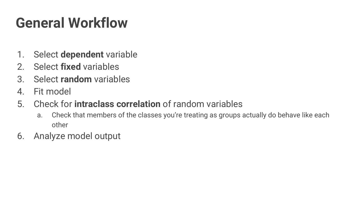- 1. Select **dependent** variable
- 2. Select **fixed** variables
- 3. Select **random** variables
- 4. Fit model
- 5. Check for **intraclass correlation** of random variables
	- a. Check that members of the classes you're treating as groups actually do behave like each other
- 6. Analyze model output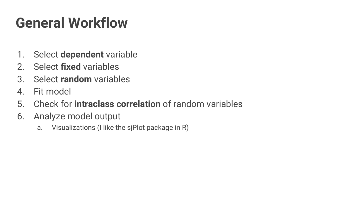- 1. Select **dependent** variable
- 2. Select **fixed** variables
- 3. Select **random** variables
- 4. Fit model
- 5. Check for **intraclass correlation** of random variables
- 6. Analyze model output
	- a. Visualizations (I like the sjPlot package in R)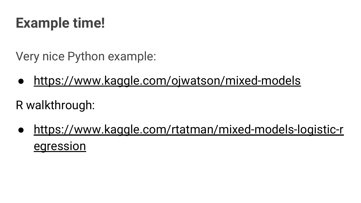#### **Example time!**

Very nice Python example:

<https://www.kaggle.com/ojwatson/mixed-models>

R walkthrough:

[https://www.kaggle.com/rtatman/mixed-models-logistic-r](https://www.kaggle.com/rtatman/mixed-models-logistic-regression) [egression](https://www.kaggle.com/rtatman/mixed-models-logistic-regression)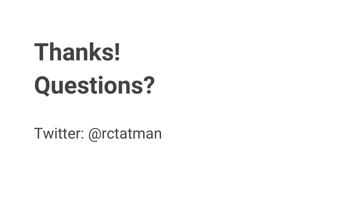# **Thanks! Questions?**

Twitter: @rctatman